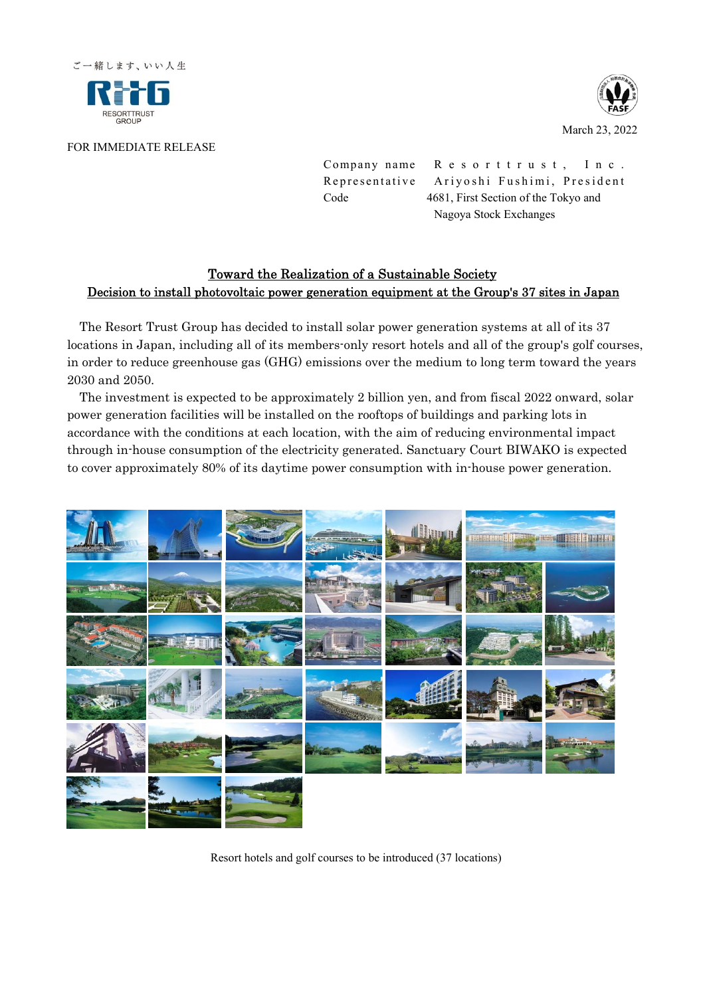



March 23, 2022

## FOR IMMEDIATE RELEASE

Company name R e s o r t t r u s t, I n c. Representative Ariyoshi Fushimi, President Code 4681, First Section of the Tokyo and Nagoya Stock Exchanges

## Toward the Realization of a Sustainable Society Decision to install photovoltaic power generation equipment at the Group's 37 sites in Japan

The Resort Trust Group has decided to install solar power generation systems at all of its 37 locations in Japan, including all of its members-only resort hotels and all of the group's golf courses, in order to reduce greenhouse gas (GHG) emissions over the medium to long term toward the years 2030 and 2050.

The investment is expected to be approximately 2 billion yen, and from fiscal 2022 onward, solar power generation facilities will be installed on the rooftops of buildings and parking lots in accordance with the conditions at each location, with the aim of reducing environmental impact through in-house consumption of the electricity generated. Sanctuary Court BIWAKO is expected to cover approximately 80% of its daytime power consumption with in-house power generation.



Resort hotels and golf courses to be introduced (37 locations)